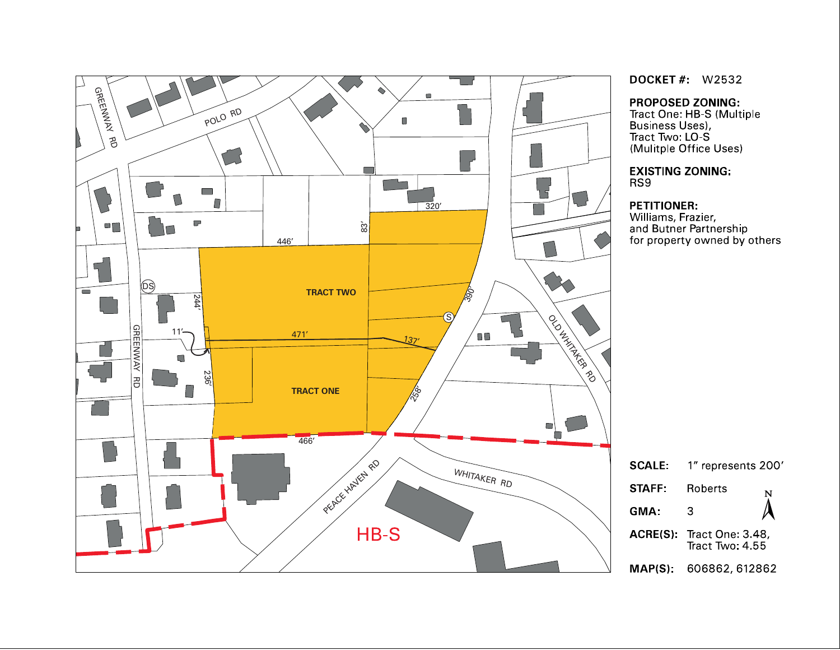

**DOCKET #: W2532** 

**PROPOSED ZONING:** 

Tract One: HB-S (Multiple Business Uses),<br>Tract Two: LO-S (Mulitple Office Uses)

**EXISTING ZONING:** RS9

#### **PETITIONER:**

. . . . . . . . . . . . .<br>Williams, Frazier,<br>and Butner Partnership for property owned by others

| <b>SCALE:</b> | 1" represents 200'                           |   |
|---------------|----------------------------------------------|---|
| <b>STAFF</b>  | Roberts                                      | Ņ |
| GMA:          | 3                                            |   |
|               | ACRE(S): Tract One: 3.48,<br>Tract Two: 4.55 |   |
|               | MAP(S): 606862, 612862                       |   |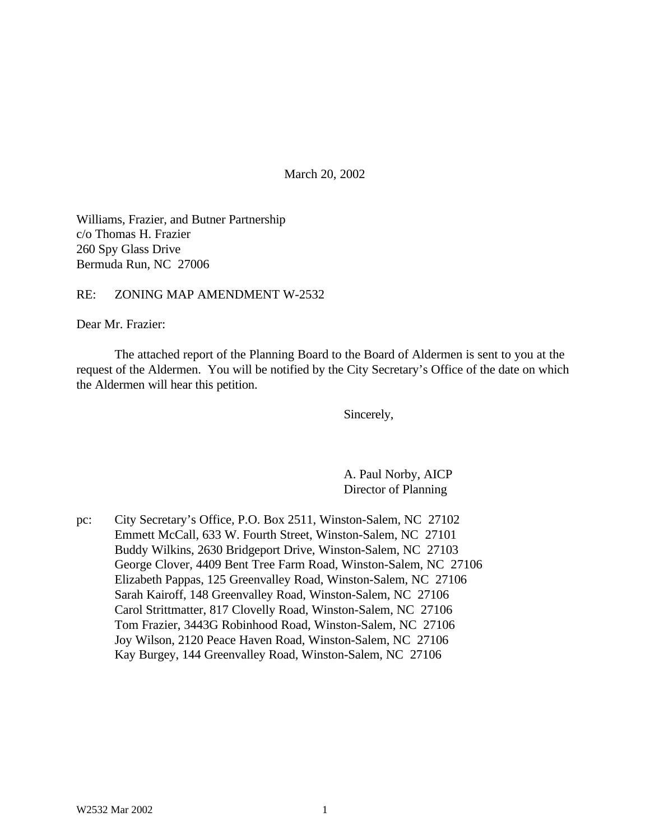March 20, 2002

Williams, Frazier, and Butner Partnership c/o Thomas H. Frazier 260 Spy Glass Drive Bermuda Run, NC 27006

RE: ZONING MAP AMENDMENT W-2532

Dear Mr. Frazier:

The attached report of the Planning Board to the Board of Aldermen is sent to you at the request of the Aldermen. You will be notified by the City Secretary's Office of the date on which the Aldermen will hear this petition.

Sincerely,

A. Paul Norby, AICP Director of Planning

pc: City Secretary's Office, P.O. Box 2511, Winston-Salem, NC 27102 Emmett McCall, 633 W. Fourth Street, Winston-Salem, NC 27101 Buddy Wilkins, 2630 Bridgeport Drive, Winston-Salem, NC 27103 George Clover, 4409 Bent Tree Farm Road, Winston-Salem, NC 27106 Elizabeth Pappas, 125 Greenvalley Road, Winston-Salem, NC 27106 Sarah Kairoff, 148 Greenvalley Road, Winston-Salem, NC 27106 Carol Strittmatter, 817 Clovelly Road, Winston-Salem, NC 27106 Tom Frazier, 3443G Robinhood Road, Winston-Salem, NC 27106 Joy Wilson, 2120 Peace Haven Road, Winston-Salem, NC 27106 Kay Burgey, 144 Greenvalley Road, Winston-Salem, NC 27106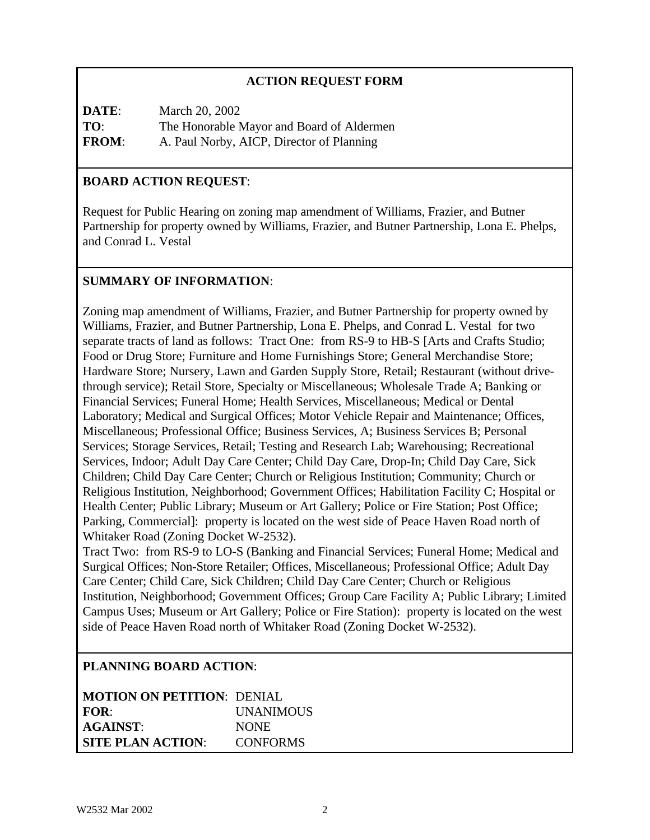# **ACTION REQUEST FORM**

**DATE**: March 20, 2002 **TO**: The Honorable Mayor and Board of Aldermen **FROM**: A. Paul Norby, AICP, Director of Planning

#### **BOARD ACTION REQUEST**:

Request for Public Hearing on zoning map amendment of Williams, Frazier, and Butner Partnership for property owned by Williams, Frazier, and Butner Partnership, Lona E. Phelps, and Conrad L. Vestal

#### **SUMMARY OF INFORMATION**:

Zoning map amendment of Williams, Frazier, and Butner Partnership for property owned by Williams, Frazier, and Butner Partnership, Lona E. Phelps, and Conrad L. Vestal for two separate tracts of land as follows: Tract One: from RS-9 to HB-S [Arts and Crafts Studio; Food or Drug Store; Furniture and Home Furnishings Store; General Merchandise Store; Hardware Store; Nursery, Lawn and Garden Supply Store, Retail; Restaurant (without drivethrough service); Retail Store, Specialty or Miscellaneous; Wholesale Trade A; Banking or Financial Services; Funeral Home; Health Services, Miscellaneous; Medical or Dental Laboratory; Medical and Surgical Offices; Motor Vehicle Repair and Maintenance; Offices, Miscellaneous; Professional Office; Business Services, A; Business Services B; Personal Services; Storage Services, Retail; Testing and Research Lab; Warehousing; Recreational Services, Indoor; Adult Day Care Center; Child Day Care, Drop-In; Child Day Care, Sick Children; Child Day Care Center; Church or Religious Institution; Community; Church or Religious Institution, Neighborhood; Government Offices; Habilitation Facility C; Hospital or Health Center; Public Library; Museum or Art Gallery; Police or Fire Station; Post Office; Parking, Commercial]: property is located on the west side of Peace Haven Road north of Whitaker Road (Zoning Docket W-2532).

Tract Two: from RS-9 to LO-S (Banking and Financial Services; Funeral Home; Medical and Surgical Offices; Non-Store Retailer; Offices, Miscellaneous; Professional Office; Adult Day Care Center; Child Care, Sick Children; Child Day Care Center; Church or Religious Institution, Neighborhood; Government Offices; Group Care Facility A; Public Library; Limited Campus Uses; Museum or Art Gallery; Police or Fire Station): property is located on the west side of Peace Haven Road north of Whitaker Road (Zoning Docket W-2532).

#### **PLANNING BOARD ACTION**:

| <b>MOTION ON PETITION: DENIAL</b> |                  |
|-----------------------------------|------------------|
| FOR:                              | <b>UNANIMOUS</b> |
| <b>AGAINST:</b>                   | <b>NONE</b>      |
| <b>SITE PLAN ACTION:</b>          | <b>CONFORMS</b>  |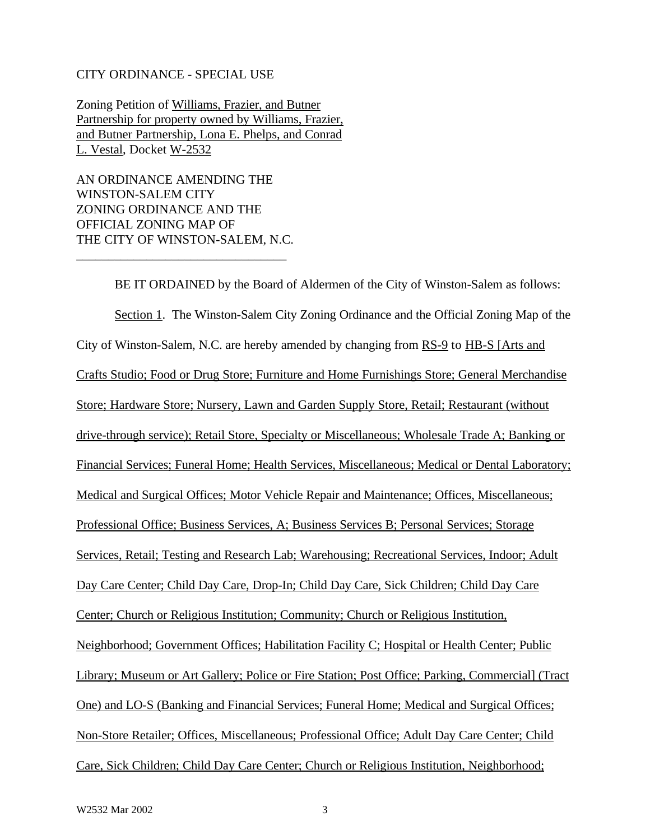#### CITY ORDINANCE - SPECIAL USE

Zoning Petition of Williams, Frazier, and Butner Partnership for property owned by Williams, Frazier, and Butner Partnership, Lona E. Phelps, and Conrad L. Vestal, Docket W-2532

AN ORDINANCE AMENDING THE WINSTON-SALEM CITY ZONING ORDINANCE AND THE OFFICIAL ZONING MAP OF THE CITY OF WINSTON-SALEM, N.C.

\_\_\_\_\_\_\_\_\_\_\_\_\_\_\_\_\_\_\_\_\_\_\_\_\_\_\_\_\_\_\_\_\_

BE IT ORDAINED by the Board of Aldermen of the City of Winston-Salem as follows: Section 1. The Winston-Salem City Zoning Ordinance and the Official Zoning Map of the City of Winston-Salem, N.C. are hereby amended by changing from RS-9 to HB-S [Arts and Crafts Studio; Food or Drug Store; Furniture and Home Furnishings Store; General Merchandise Store; Hardware Store; Nursery, Lawn and Garden Supply Store, Retail; Restaurant (without drive-through service); Retail Store, Specialty or Miscellaneous; Wholesale Trade A; Banking or Financial Services; Funeral Home; Health Services, Miscellaneous; Medical or Dental Laboratory; Medical and Surgical Offices; Motor Vehicle Repair and Maintenance; Offices, Miscellaneous; Professional Office; Business Services, A; Business Services B; Personal Services; Storage Services, Retail; Testing and Research Lab; Warehousing; Recreational Services, Indoor; Adult Day Care Center; Child Day Care, Drop-In; Child Day Care, Sick Children; Child Day Care Center; Church or Religious Institution; Community; Church or Religious Institution, Neighborhood; Government Offices; Habilitation Facility C; Hospital or Health Center; Public Library; Museum or Art Gallery; Police or Fire Station; Post Office; Parking, Commercial] (Tract One) and LO-S (Banking and Financial Services; Funeral Home; Medical and Surgical Offices; Non-Store Retailer; Offices, Miscellaneous; Professional Office; Adult Day Care Center; Child Care, Sick Children; Child Day Care Center; Church or Religious Institution, Neighborhood;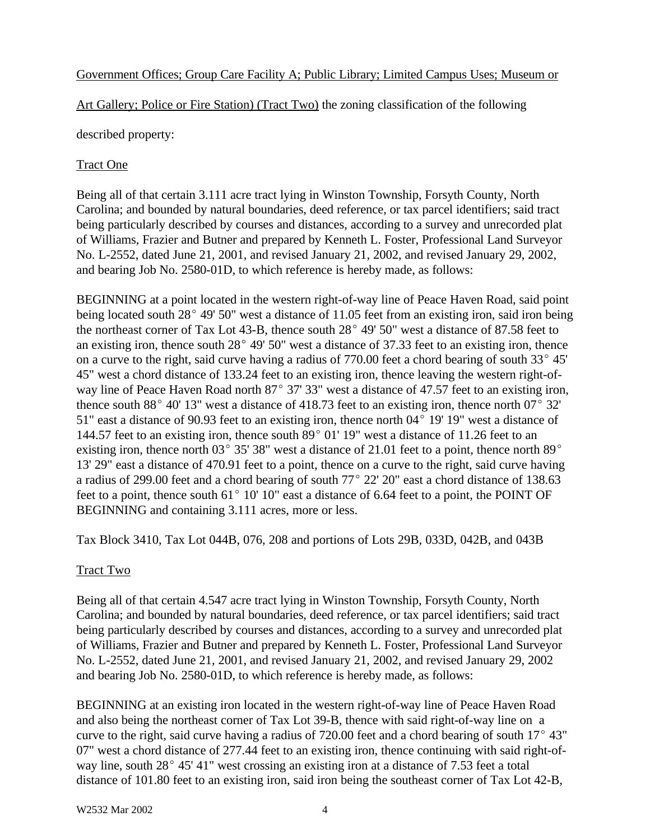#### Government Offices; Group Care Facility A; Public Library; Limited Campus Uses; Museum or

Art Gallery; Police or Fire Station) (Tract Two) the zoning classification of the following

described property:

#### Tract One

Being all of that certain 3.111 acre tract lying in Winston Township, Forsyth County, North Carolina; and bounded by natural boundaries, deed reference, or tax parcel identifiers; said tract being particularly described by courses and distances, according to a survey and unrecorded plat of Williams, Frazier and Butner and prepared by Kenneth L. Foster, Professional Land Surveyor No. L-2552, dated June 21, 2001, and revised January 21, 2002, and revised January 29, 2002, and bearing Job No. 2580-01D, to which reference is hereby made, as follows:

BEGINNING at a point located in the western right-of-way line of Peace Haven Road, said point being located south  $28^{\circ}$  49' 50" west a distance of 11.05 feet from an existing iron, said iron being the northeast corner of Tax Lot 43-B, thence south  $28^{\circ}$  49' 50" west a distance of 87.58 feet to an existing iron, thence south  $28^{\circ}$  49' 50" west a distance of 37.33 feet to an existing iron, thence on a curve to the right, said curve having a radius of  $770.00$  feet a chord bearing of south  $33^{\circ}$  45' 45" west a chord distance of 133.24 feet to an existing iron, thence leaving the western right-ofway line of Peace Haven Road north  $87^{\circ}$  37' 33" west a distance of 47.57 feet to an existing iron, thence south  $88^{\circ}$  40' 13" west a distance of 418.73 feet to an existing iron, thence north 07 $^{\circ}$  32' 51" east a distance of 90.93 feet to an existing iron, thence north  $04^{\circ}$  19' 19" west a distance of 144.57 feet to an existing iron, thence south  $89^{\circ}$  01' 19" west a distance of 11.26 feet to an existing iron, thence north 03 $^{\circ}$  35' 38" west a distance of 21.01 feet to a point, thence north 89 $^{\circ}$ 13' 29" east a distance of 470.91 feet to a point, thence on a curve to the right, said curve having a radius of 299.00 feet and a chord bearing of south  $77^{\circ}$  22' 20" east a chord distance of 138.63 feet to a point, thence south  $61^{\circ}$  10' 10" east a distance of 6.64 feet to a point, the POINT OF BEGINNING and containing 3.111 acres, more or less.

Tax Block 3410, Tax Lot 044B, 076, 208 and portions of Lots 29B, 033D, 042B, and 043B

#### Tract Two

Being all of that certain 4.547 acre tract lying in Winston Township, Forsyth County, North Carolina; and bounded by natural boundaries, deed reference, or tax parcel identifiers; said tract being particularly described by courses and distances, according to a survey and unrecorded plat of Williams, Frazier and Butner and prepared by Kenneth L. Foster, Professional Land Surveyor No. L-2552, dated June 21, 2001, and revised January 21, 2002, and revised January 29, 2002 and bearing Job No. 2580-01D, to which reference is hereby made, as follows:

BEGINNING at an existing iron located in the western right-of-way line of Peace Haven Road and also being the northeast corner of Tax Lot 39-B, thence with said right-of-way line on a curve to the right, said curve having a radius of  $720.00$  feet and a chord bearing of south  $17^{\circ}$  43" 07" west a chord distance of 277.44 feet to an existing iron, thence continuing with said right-ofway line, south  $28^{\circ}$  45' 41" west crossing an existing iron at a distance of 7.53 feet a total distance of 101.80 feet to an existing iron, said iron being the southeast corner of Tax Lot 42-B,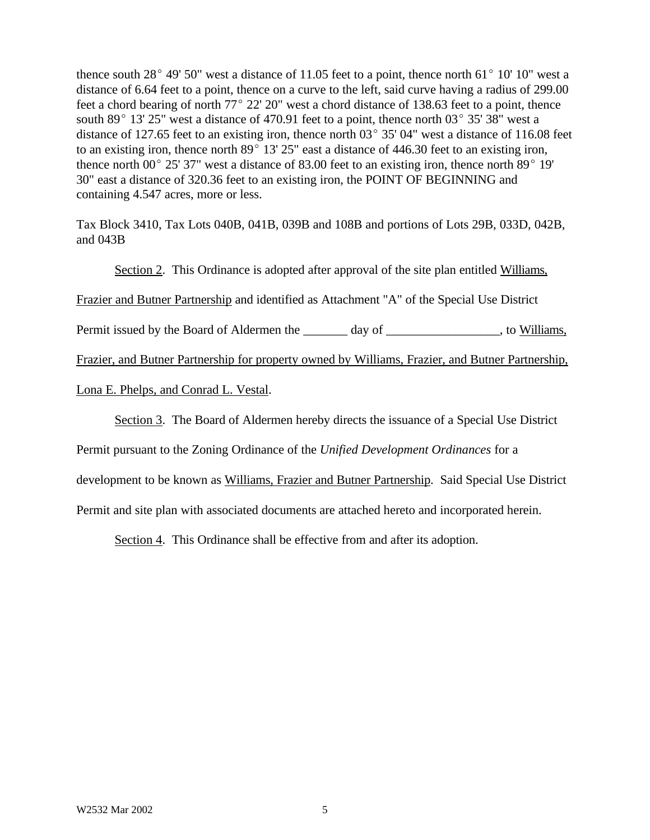thence south  $28^{\circ}$  49' 50" west a distance of 11.05 feet to a point, thence north 61 $^{\circ}$  10' 10" west a distance of 6.64 feet to a point, thence on a curve to the left, said curve having a radius of 299.00 feet a chord bearing of north  $77^{\circ}$  22' 20" west a chord distance of 138.63 feet to a point, thence south 89 $^{\circ}$  13' 25" west a distance of 470.91 feet to a point, thence north 03 $^{\circ}$  35' 38" west a distance of 127.65 feet to an existing iron, thence north  $03^{\circ}$  35' 04" west a distance of 116.08 feet to an existing iron, thence north  $89^{\circ}$  13' 25" east a distance of 446.30 feet to an existing iron, thence north 00 $^{\circ}$  25' 37" west a distance of 83.00 feet to an existing iron, thence north 89 $^{\circ}$  19' 30" east a distance of 320.36 feet to an existing iron, the POINT OF BEGINNING and containing 4.547 acres, more or less.

Tax Block 3410, Tax Lots 040B, 041B, 039B and 108B and portions of Lots 29B, 033D, 042B, and 043B

Section 2. This Ordinance is adopted after approval of the site plan entitled Williams,

Frazier and Butner Partnership and identified as Attachment "A" of the Special Use District

Permit issued by the Board of Aldermen the \_\_\_\_\_\_\_ day of \_\_\_\_\_\_\_\_\_\_\_\_\_\_\_\_, to Williams,

Frazier, and Butner Partnership for property owned by Williams, Frazier, and Butner Partnership,

Lona E. Phelps, and Conrad L. Vestal.

Section 3. The Board of Aldermen hereby directs the issuance of a Special Use District

Permit pursuant to the Zoning Ordinance of the *Unified Development Ordinances* for a

development to be known as Williams, Frazier and Butner Partnership. Said Special Use District

Permit and site plan with associated documents are attached hereto and incorporated herein.

Section 4. This Ordinance shall be effective from and after its adoption.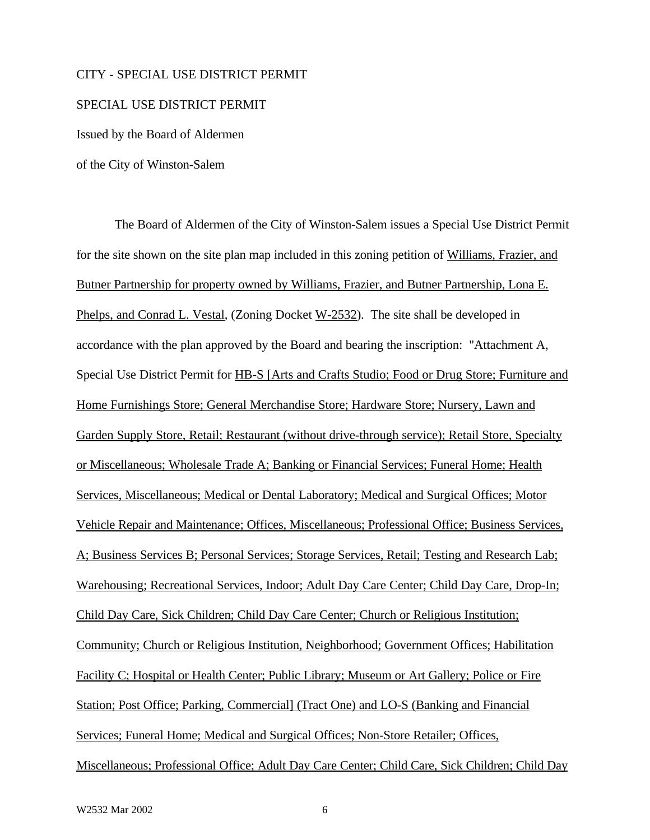#### CITY - SPECIAL USE DISTRICT PERMIT

#### SPECIAL USE DISTRICT PERMIT

Issued by the Board of Aldermen

of the City of Winston-Salem

The Board of Aldermen of the City of Winston-Salem issues a Special Use District Permit for the site shown on the site plan map included in this zoning petition of Williams, Frazier, and Butner Partnership for property owned by Williams, Frazier, and Butner Partnership, Lona E. Phelps, and Conrad L. Vestal, (Zoning Docket W-2532). The site shall be developed in accordance with the plan approved by the Board and bearing the inscription: "Attachment A, Special Use District Permit for HB-S [Arts and Crafts Studio; Food or Drug Store; Furniture and Home Furnishings Store; General Merchandise Store; Hardware Store; Nursery, Lawn and Garden Supply Store, Retail; Restaurant (without drive-through service); Retail Store, Specialty or Miscellaneous; Wholesale Trade A; Banking or Financial Services; Funeral Home; Health Services, Miscellaneous; Medical or Dental Laboratory; Medical and Surgical Offices; Motor Vehicle Repair and Maintenance; Offices, Miscellaneous; Professional Office; Business Services, A; Business Services B; Personal Services; Storage Services, Retail; Testing and Research Lab; Warehousing; Recreational Services, Indoor; Adult Day Care Center; Child Day Care, Drop-In; Child Day Care, Sick Children; Child Day Care Center; Church or Religious Institution; Community; Church or Religious Institution, Neighborhood; Government Offices; Habilitation Facility C; Hospital or Health Center; Public Library; Museum or Art Gallery; Police or Fire Station; Post Office; Parking, Commercial] (Tract One) and LO-S (Banking and Financial Services; Funeral Home; Medical and Surgical Offices; Non-Store Retailer; Offices, Miscellaneous; Professional Office; Adult Day Care Center; Child Care, Sick Children; Child Day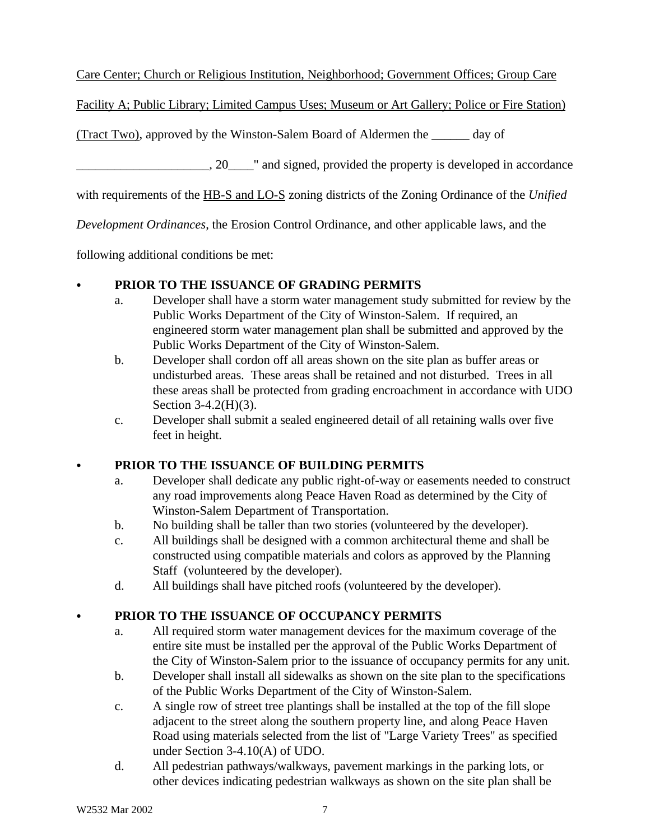Care Center; Church or Religious Institution, Neighborhood; Government Offices; Group Care

Facility A; Public Library; Limited Campus Uses; Museum or Art Gallery; Police or Fire Station)

(Tract Two), approved by the Winston-Salem Board of Aldermen the \_\_\_\_\_\_ day of

 $\Box$ , 20 $\Box$  and signed, provided the property is developed in accordance

with requirements of the HB-S and LO-S zoning districts of the Zoning Ordinance of the *Unified*

*Development Ordinances*, the Erosion Control Ordinance, and other applicable laws, and the

following additional conditions be met:

# C **PRIOR TO THE ISSUANCE OF GRADING PERMITS**

- a. Developer shall have a storm water management study submitted for review by the Public Works Department of the City of Winston-Salem. If required, an engineered storm water management plan shall be submitted and approved by the Public Works Department of the City of Winston-Salem.
- b. Developer shall cordon off all areas shown on the site plan as buffer areas or undisturbed areas. These areas shall be retained and not disturbed. Trees in all these areas shall be protected from grading encroachment in accordance with UDO Section 3-4.2(H)(3).
- c. Developer shall submit a sealed engineered detail of all retaining walls over five feet in height.

# C **PRIOR TO THE ISSUANCE OF BUILDING PERMITS**

- a. Developer shall dedicate any public right-of-way or easements needed to construct any road improvements along Peace Haven Road as determined by the City of Winston-Salem Department of Transportation.
- b. No building shall be taller than two stories (volunteered by the developer).
- c. All buildings shall be designed with a common architectural theme and shall be constructed using compatible materials and colors as approved by the Planning Staff (volunteered by the developer).
- d. All buildings shall have pitched roofs (volunteered by the developer).

# C **PRIOR TO THE ISSUANCE OF OCCUPANCY PERMITS**

- a. All required storm water management devices for the maximum coverage of the entire site must be installed per the approval of the Public Works Department of the City of Winston-Salem prior to the issuance of occupancy permits for any unit.
- b. Developer shall install all sidewalks as shown on the site plan to the specifications of the Public Works Department of the City of Winston-Salem.
- c. A single row of street tree plantings shall be installed at the top of the fill slope adjacent to the street along the southern property line, and along Peace Haven Road using materials selected from the list of "Large Variety Trees" as specified under Section 3-4.10(A) of UDO.
- d. All pedestrian pathways/walkways, pavement markings in the parking lots, or other devices indicating pedestrian walkways as shown on the site plan shall be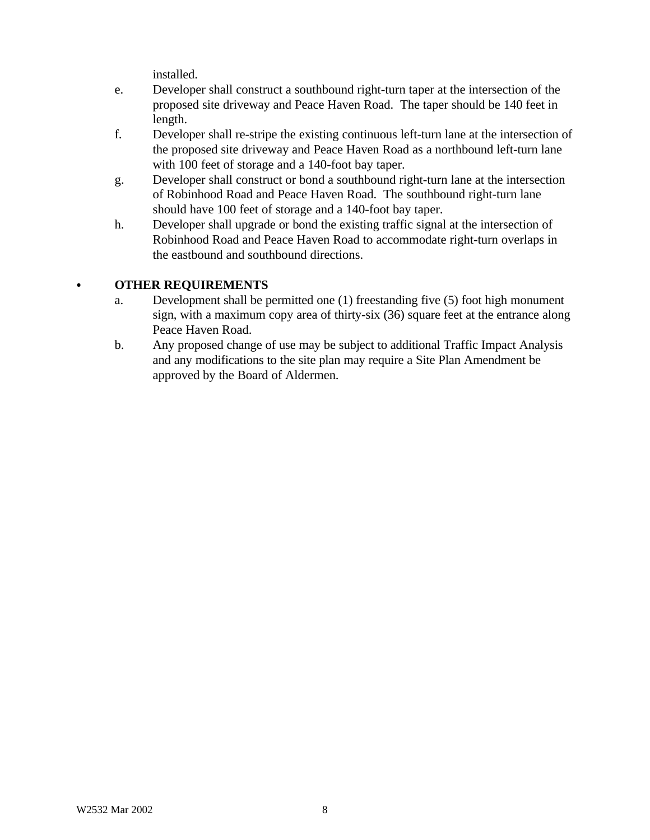installed.

- e. Developer shall construct a southbound right-turn taper at the intersection of the proposed site driveway and Peace Haven Road. The taper should be 140 feet in length.
- f. Developer shall re-stripe the existing continuous left-turn lane at the intersection of the proposed site driveway and Peace Haven Road as a northbound left-turn lane with 100 feet of storage and a 140-foot bay taper.
- g. Developer shall construct or bond a southbound right-turn lane at the intersection of Robinhood Road and Peace Haven Road. The southbound right-turn lane should have 100 feet of storage and a 140-foot bay taper.
- h. Developer shall upgrade or bond the existing traffic signal at the intersection of Robinhood Road and Peace Haven Road to accommodate right-turn overlaps in the eastbound and southbound directions.

#### C **OTHER REQUIREMENTS**

- a. Development shall be permitted one (1) freestanding five (5) foot high monument sign, with a maximum copy area of thirty-six (36) square feet at the entrance along Peace Haven Road.
- b. Any proposed change of use may be subject to additional Traffic Impact Analysis and any modifications to the site plan may require a Site Plan Amendment be approved by the Board of Aldermen.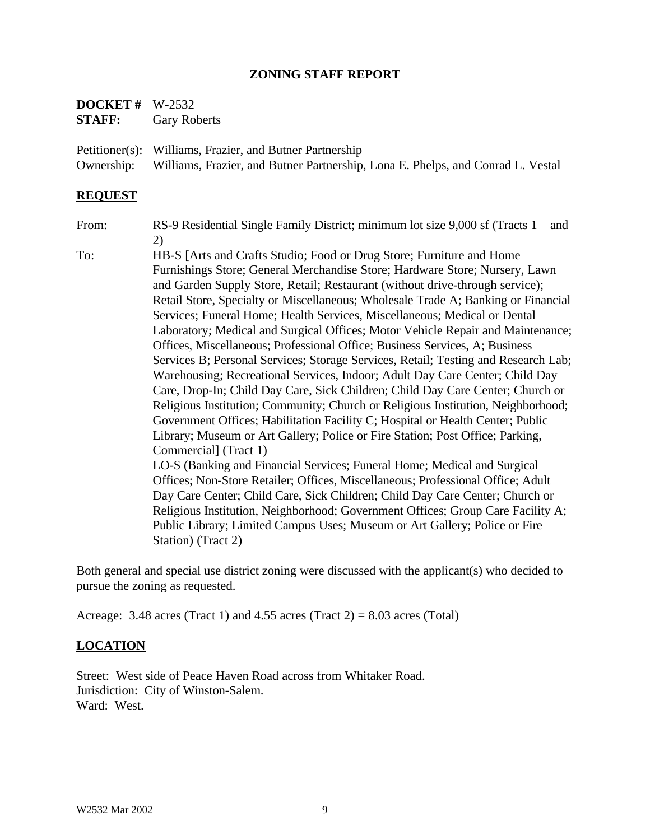#### **ZONING STAFF REPORT**

| <b>DOCKET</b> # $W-2532$ |                     |
|--------------------------|---------------------|
| <b>STAFF:</b>            | <b>Gary Roberts</b> |

Petitioner(s): Williams, Frazier, and Butner Partnership Ownership: Williams, Frazier, and Butner Partnership, Lona E. Phelps, and Conrad L. Vestal

#### **REQUEST**

From: RS-9 Residential Single Family District; minimum lot size 9,000 sf (Tracts 1 and 2)

To: HB-S [Arts and Crafts Studio; Food or Drug Store; Furniture and Home Furnishings Store; General Merchandise Store; Hardware Store; Nursery, Lawn and Garden Supply Store, Retail; Restaurant (without drive-through service); Retail Store, Specialty or Miscellaneous; Wholesale Trade A; Banking or Financial Services; Funeral Home; Health Services, Miscellaneous; Medical or Dental Laboratory; Medical and Surgical Offices; Motor Vehicle Repair and Maintenance; Offices, Miscellaneous; Professional Office; Business Services, A; Business Services B; Personal Services; Storage Services, Retail; Testing and Research Lab; Warehousing; Recreational Services, Indoor; Adult Day Care Center; Child Day Care, Drop-In; Child Day Care, Sick Children; Child Day Care Center; Church or Religious Institution; Community; Church or Religious Institution, Neighborhood; Government Offices; Habilitation Facility C; Hospital or Health Center; Public Library; Museum or Art Gallery; Police or Fire Station; Post Office; Parking, Commercial] (Tract 1) LO-S (Banking and Financial Services; Funeral Home; Medical and Surgical Offices; Non-Store Retailer; Offices, Miscellaneous; Professional Office; Adult Day Care Center; Child Care, Sick Children; Child Day Care Center; Church or Religious Institution, Neighborhood; Government Offices; Group Care Facility A; Public Library; Limited Campus Uses; Museum or Art Gallery; Police or Fire

Both general and special use district zoning were discussed with the applicant(s) who decided to pursue the zoning as requested.

Acreage: 3.48 acres (Tract 1) and 4.55 acres (Tract 2) = 8.03 acres (Total)

#### **LOCATION**

Street: West side of Peace Haven Road across from Whitaker Road. Jurisdiction: City of Winston-Salem. Ward: West.

Station) (Tract 2)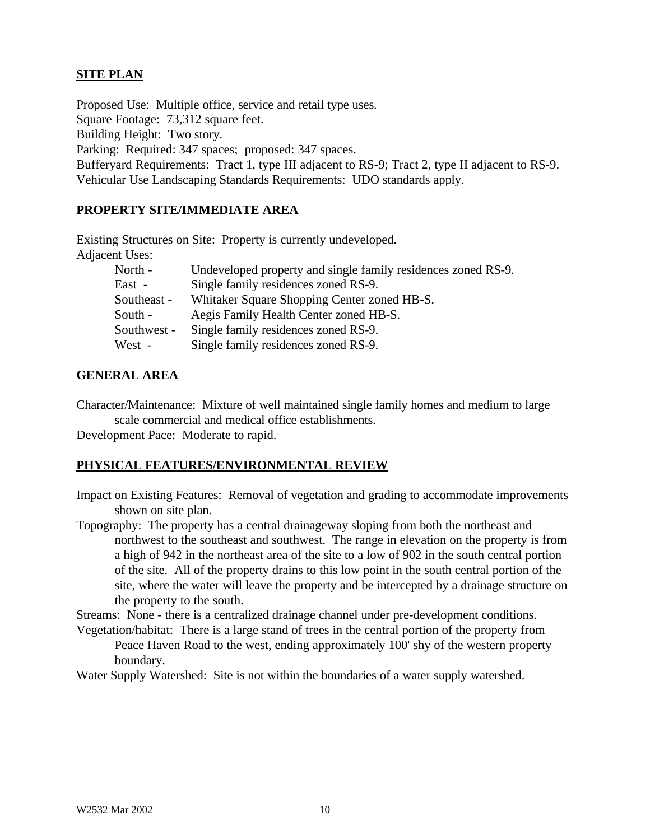# **SITE PLAN**

Proposed Use: Multiple office, service and retail type uses. Square Footage: 73,312 square feet. Building Height: Two story. Parking: Required: 347 spaces; proposed: 347 spaces. Bufferyard Requirements: Tract 1, type III adjacent to RS-9; Tract 2, type II adjacent to RS-9. Vehicular Use Landscaping Standards Requirements: UDO standards apply.

#### **PROPERTY SITE/IMMEDIATE AREA**

Existing Structures on Site: Property is currently undeveloped. Adjacent Uses:

| North -     | Undeveloped property and single family residences zoned RS-9. |
|-------------|---------------------------------------------------------------|
| East -      | Single family residences zoned RS-9.                          |
| Southeast - | Whitaker Square Shopping Center zoned HB-S.                   |
| South -     | Aegis Family Health Center zoned HB-S.                        |
| Southwest - | Single family residences zoned RS-9.                          |
| West -      | Single family residences zoned RS-9.                          |

#### **GENERAL AREA**

Character/Maintenance: Mixture of well maintained single family homes and medium to large scale commercial and medical office establishments.

Development Pace: Moderate to rapid.

#### **PHYSICAL FEATURES/ENVIRONMENTAL REVIEW**

- Impact on Existing Features: Removal of vegetation and grading to accommodate improvements shown on site plan.
- Topography: The property has a central drainageway sloping from both the northeast and northwest to the southeast and southwest. The range in elevation on the property is from a high of 942 in the northeast area of the site to a low of 902 in the south central portion of the site. All of the property drains to this low point in the south central portion of the site, where the water will leave the property and be intercepted by a drainage structure on the property to the south.

Streams: None - there is a centralized drainage channel under pre-development conditions. Vegetation/habitat: There is a large stand of trees in the central portion of the property from

Peace Haven Road to the west, ending approximately 100' shy of the western property boundary.

Water Supply Watershed: Site is not within the boundaries of a water supply watershed.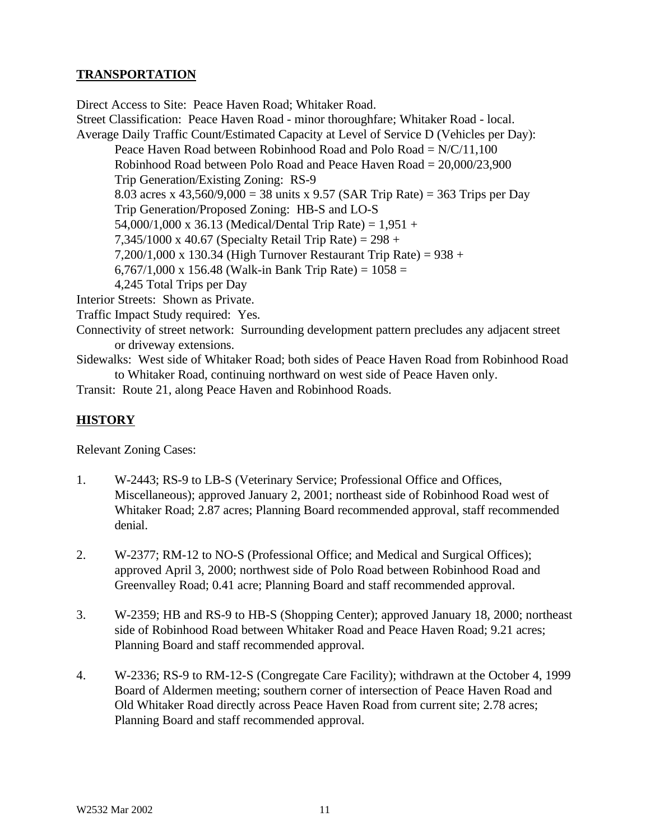# **TRANSPORTATION**

Direct Access to Site: Peace Haven Road; Whitaker Road. Street Classification: Peace Haven Road - minor thoroughfare; Whitaker Road - local. Average Daily Traffic Count/Estimated Capacity at Level of Service D (Vehicles per Day): Peace Haven Road between Robinhood Road and Polo Road =  $N/C/11,100$ Robinhood Road between Polo Road and Peace Haven Road  $= 20,000/23,900$ Trip Generation/Existing Zoning: RS-9 8.03 acres x 43,560/9,000 = 38 units x 9.57 (SAR Trip Rate) = 363 Trips per Day Trip Generation/Proposed Zoning: HB-S and LO-S 54,000/1,000 x 36.13 (Medical/Dental Trip Rate) =  $1,951 +$ 7,345/1000 x 40.67 (Specialty Retail Trip Rate) =  $298 +$ 7,200/1,000 x 130.34 (High Turnover Restaurant Trip Rate) = 938 + 6,767/1,000 x 156.48 (Walk-in Bank Trip Rate) =  $1058 =$ 4,245 Total Trips per Day Interior Streets: Shown as Private. Traffic Impact Study required: Yes.

- Connectivity of street network: Surrounding development pattern precludes any adjacent street or driveway extensions.
- Sidewalks: West side of Whitaker Road; both sides of Peace Haven Road from Robinhood Road to Whitaker Road, continuing northward on west side of Peace Haven only.

Transit: Route 21, along Peace Haven and Robinhood Roads.

# **HISTORY**

Relevant Zoning Cases:

- 1. W-2443; RS-9 to LB-S (Veterinary Service; Professional Office and Offices, Miscellaneous); approved January 2, 2001; northeast side of Robinhood Road west of Whitaker Road; 2.87 acres; Planning Board recommended approval, staff recommended denial.
- 2. W-2377; RM-12 to NO-S (Professional Office; and Medical and Surgical Offices); approved April 3, 2000; northwest side of Polo Road between Robinhood Road and Greenvalley Road; 0.41 acre; Planning Board and staff recommended approval.
- 3. W-2359; HB and RS-9 to HB-S (Shopping Center); approved January 18, 2000; northeast side of Robinhood Road between Whitaker Road and Peace Haven Road; 9.21 acres; Planning Board and staff recommended approval.
- 4. W-2336; RS-9 to RM-12-S (Congregate Care Facility); withdrawn at the October 4, 1999 Board of Aldermen meeting; southern corner of intersection of Peace Haven Road and Old Whitaker Road directly across Peace Haven Road from current site; 2.78 acres; Planning Board and staff recommended approval.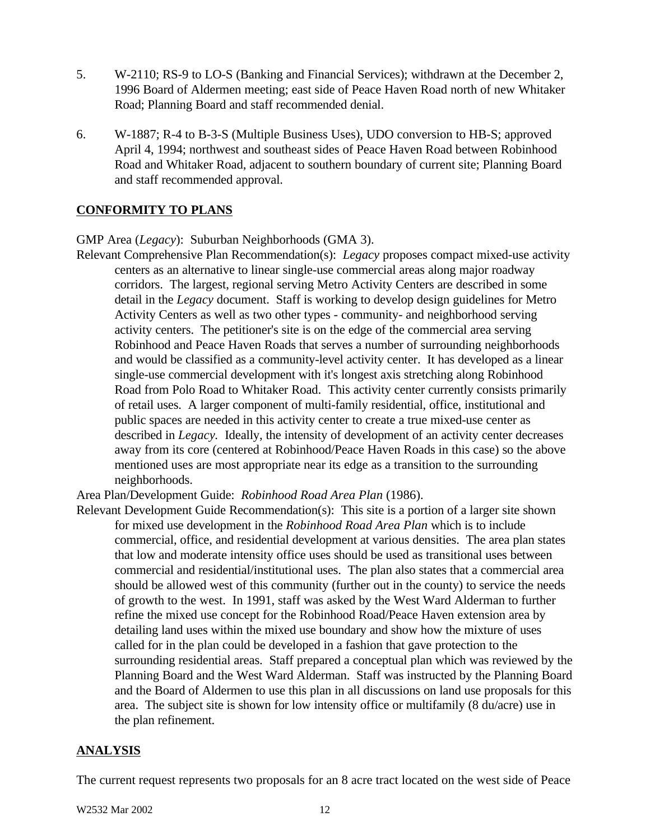- 5. W-2110; RS-9 to LO-S (Banking and Financial Services); withdrawn at the December 2, 1996 Board of Aldermen meeting; east side of Peace Haven Road north of new Whitaker Road; Planning Board and staff recommended denial.
- 6. W-1887; R-4 to B-3-S (Multiple Business Uses), UDO conversion to HB-S; approved April 4, 1994; northwest and southeast sides of Peace Haven Road between Robinhood Road and Whitaker Road, adjacent to southern boundary of current site; Planning Board and staff recommended approval.

#### **CONFORMITY TO PLANS**

GMP Area (*Legacy*): Suburban Neighborhoods (GMA 3).

Relevant Comprehensive Plan Recommendation(s): *Legacy* proposes compact mixed-use activity centers as an alternative to linear single-use commercial areas along major roadway corridors. The largest, regional serving Metro Activity Centers are described in some detail in the *Legacy* document. Staff is working to develop design guidelines for Metro Activity Centers as well as two other types - community- and neighborhood serving activity centers. The petitioner's site is on the edge of the commercial area serving Robinhood and Peace Haven Roads that serves a number of surrounding neighborhoods and would be classified as a community-level activity center. It has developed as a linear single-use commercial development with it's longest axis stretching along Robinhood Road from Polo Road to Whitaker Road. This activity center currently consists primarily of retail uses. A larger component of multi-family residential, office, institutional and public spaces are needed in this activity center to create a true mixed-use center as described in *Legacy*. Ideally, the intensity of development of an activity center decreases away from its core (centered at Robinhood/Peace Haven Roads in this case) so the above mentioned uses are most appropriate near its edge as a transition to the surrounding neighborhoods.

Area Plan/Development Guide: *Robinhood Road Area Plan* (1986).

Relevant Development Guide Recommendation(s): This site is a portion of a larger site shown for mixed use development in the *Robinhood Road Area Plan* which is to include commercial, office, and residential development at various densities. The area plan states that low and moderate intensity office uses should be used as transitional uses between commercial and residential/institutional uses. The plan also states that a commercial area should be allowed west of this community (further out in the county) to service the needs of growth to the west. In 1991, staff was asked by the West Ward Alderman to further refine the mixed use concept for the Robinhood Road/Peace Haven extension area by detailing land uses within the mixed use boundary and show how the mixture of uses called for in the plan could be developed in a fashion that gave protection to the surrounding residential areas. Staff prepared a conceptual plan which was reviewed by the Planning Board and the West Ward Alderman. Staff was instructed by the Planning Board and the Board of Aldermen to use this plan in all discussions on land use proposals for this area. The subject site is shown for low intensity office or multifamily (8 du/acre) use in the plan refinement.

#### **ANALYSIS**

The current request represents two proposals for an 8 acre tract located on the west side of Peace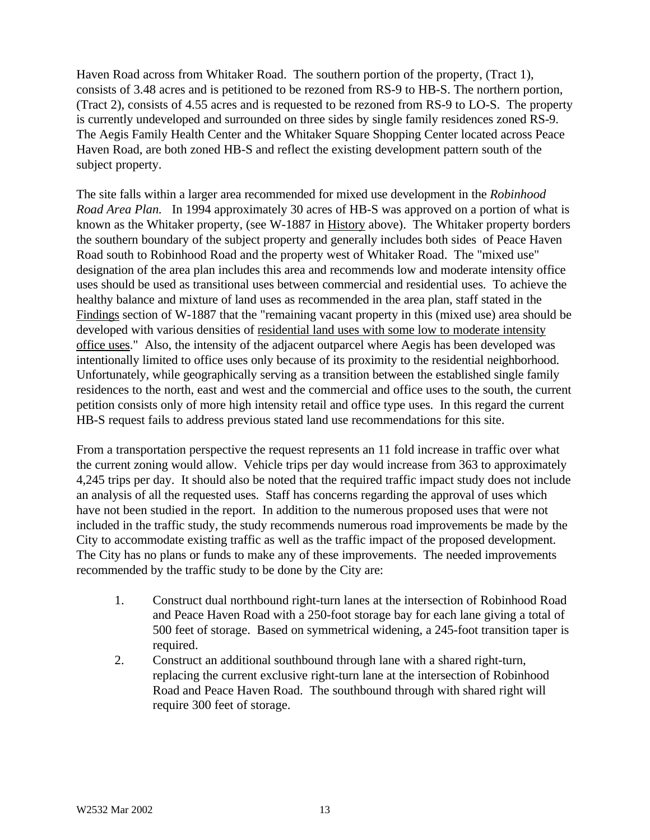Haven Road across from Whitaker Road. The southern portion of the property, (Tract 1), consists of 3.48 acres and is petitioned to be rezoned from RS-9 to HB-S. The northern portion, (Tract 2), consists of 4.55 acres and is requested to be rezoned from RS-9 to LO-S. The property is currently undeveloped and surrounded on three sides by single family residences zoned RS-9. The Aegis Family Health Center and the Whitaker Square Shopping Center located across Peace Haven Road, are both zoned HB-S and reflect the existing development pattern south of the subject property.

The site falls within a larger area recommended for mixed use development in the *Robinhood Road Area Plan.* In 1994 approximately 30 acres of HB-S was approved on a portion of what is known as the Whitaker property, (see W-1887 in History above). The Whitaker property borders the southern boundary of the subject property and generally includes both sides of Peace Haven Road south to Robinhood Road and the property west of Whitaker Road. The "mixed use" designation of the area plan includes this area and recommends low and moderate intensity office uses should be used as transitional uses between commercial and residential uses. To achieve the healthy balance and mixture of land uses as recommended in the area plan, staff stated in the Findings section of W-1887 that the "remaining vacant property in this (mixed use) area should be developed with various densities of residential land uses with some low to moderate intensity office uses." Also, the intensity of the adjacent outparcel where Aegis has been developed was intentionally limited to office uses only because of its proximity to the residential neighborhood. Unfortunately, while geographically serving as a transition between the established single family residences to the north, east and west and the commercial and office uses to the south, the current petition consists only of more high intensity retail and office type uses. In this regard the current HB-S request fails to address previous stated land use recommendations for this site.

From a transportation perspective the request represents an 11 fold increase in traffic over what the current zoning would allow. Vehicle trips per day would increase from 363 to approximately 4,245 trips per day. It should also be noted that the required traffic impact study does not include an analysis of all the requested uses. Staff has concerns regarding the approval of uses which have not been studied in the report. In addition to the numerous proposed uses that were not included in the traffic study, the study recommends numerous road improvements be made by the City to accommodate existing traffic as well as the traffic impact of the proposed development. The City has no plans or funds to make any of these improvements. The needed improvements recommended by the traffic study to be done by the City are:

- 1. Construct dual northbound right-turn lanes at the intersection of Robinhood Road and Peace Haven Road with a 250-foot storage bay for each lane giving a total of 500 feet of storage. Based on symmetrical widening, a 245-foot transition taper is required.
- 2. Construct an additional southbound through lane with a shared right-turn, replacing the current exclusive right-turn lane at the intersection of Robinhood Road and Peace Haven Road. The southbound through with shared right will require 300 feet of storage.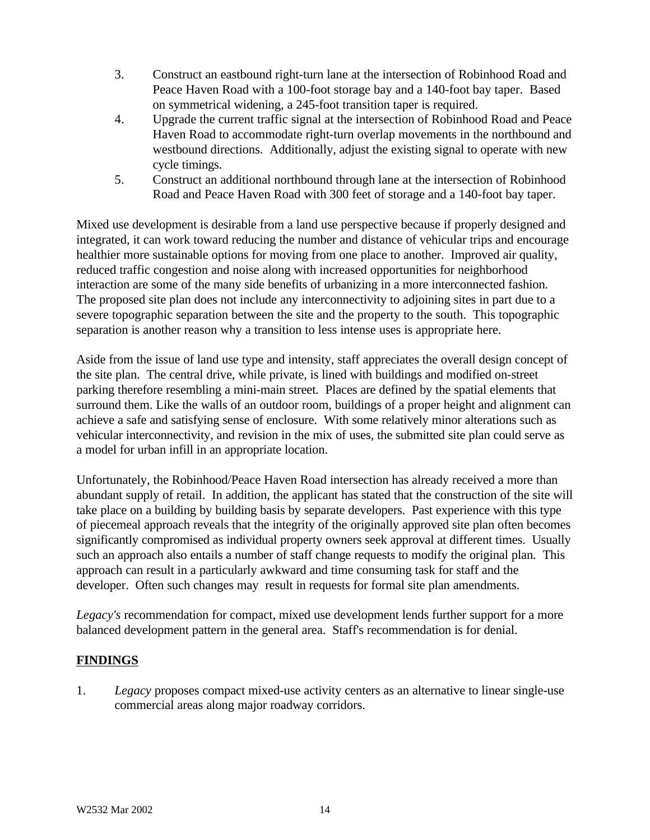- 3. Construct an eastbound right-turn lane at the intersection of Robinhood Road and Peace Haven Road with a 100-foot storage bay and a 140-foot bay taper. Based on symmetrical widening, a 245-foot transition taper is required.
- 4. Upgrade the current traffic signal at the intersection of Robinhood Road and Peace Haven Road to accommodate right-turn overlap movements in the northbound and westbound directions. Additionally, adjust the existing signal to operate with new cycle timings.
- 5. Construct an additional northbound through lane at the intersection of Robinhood Road and Peace Haven Road with 300 feet of storage and a 140-foot bay taper.

Mixed use development is desirable from a land use perspective because if properly designed and integrated, it can work toward reducing the number and distance of vehicular trips and encourage healthier more sustainable options for moving from one place to another. Improved air quality, reduced traffic congestion and noise along with increased opportunities for neighborhood interaction are some of the many side benefits of urbanizing in a more interconnected fashion. The proposed site plan does not include any interconnectivity to adjoining sites in part due to a severe topographic separation between the site and the property to the south. This topographic separation is another reason why a transition to less intense uses is appropriate here.

Aside from the issue of land use type and intensity, staff appreciates the overall design concept of the site plan. The central drive, while private, is lined with buildings and modified on-street parking therefore resembling a mini-main street. Places are defined by the spatial elements that surround them. Like the walls of an outdoor room, buildings of a proper height and alignment can achieve a safe and satisfying sense of enclosure. With some relatively minor alterations such as vehicular interconnectivity, and revision in the mix of uses, the submitted site plan could serve as a model for urban infill in an appropriate location.

Unfortunately, the Robinhood/Peace Haven Road intersection has already received a more than abundant supply of retail. In addition, the applicant has stated that the construction of the site will take place on a building by building basis by separate developers. Past experience with this type of piecemeal approach reveals that the integrity of the originally approved site plan often becomes significantly compromised as individual property owners seek approval at different times. Usually such an approach also entails a number of staff change requests to modify the original plan. This approach can result in a particularly awkward and time consuming task for staff and the developer. Often such changes may result in requests for formal site plan amendments.

*Legacy's* recommendation for compact, mixed use development lends further support for a more balanced development pattern in the general area. Staff's recommendation is for denial.

# **FINDINGS**

1. *Legacy* proposes compact mixed-use activity centers as an alternative to linear single-use commercial areas along major roadway corridors.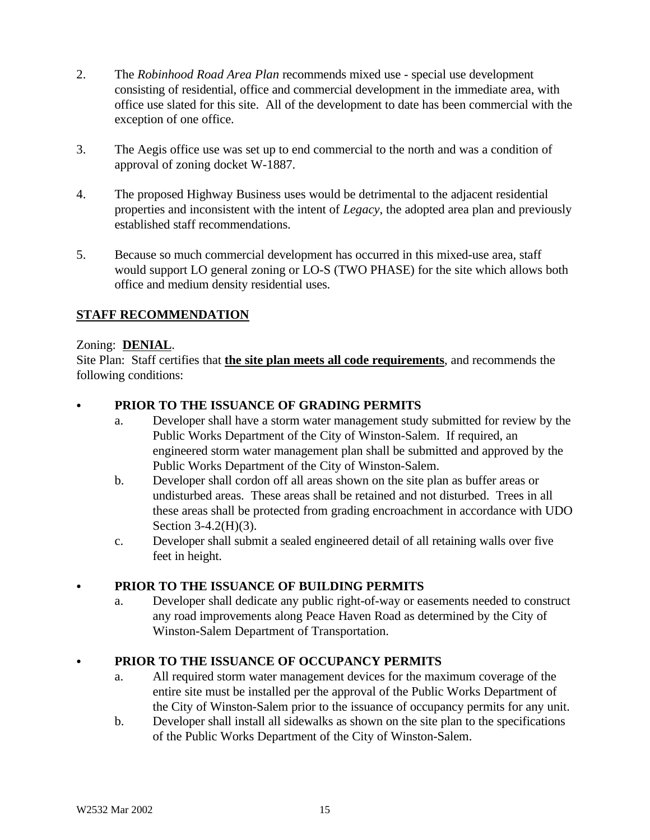- 2. The *Robinhood Road Area Plan* recommends mixed use special use development consisting of residential, office and commercial development in the immediate area, with office use slated for this site. All of the development to date has been commercial with the exception of one office.
- 3. The Aegis office use was set up to end commercial to the north and was a condition of approval of zoning docket W-1887.
- 4. The proposed Highway Business uses would be detrimental to the adjacent residential properties and inconsistent with the intent of *Legacy*, the adopted area plan and previously established staff recommendations.
- 5. Because so much commercial development has occurred in this mixed-use area, staff would support LO general zoning or LO-S (TWO PHASE) for the site which allows both office and medium density residential uses.

# **STAFF RECOMMENDATION**

#### Zoning: **DENIAL**.

Site Plan: Staff certifies that **the site plan meets all code requirements**, and recommends the following conditions:

# PRIOR TO THE ISSUANCE OF GRADING PERMITS

- a. Developer shall have a storm water management study submitted for review by the Public Works Department of the City of Winston-Salem. If required, an engineered storm water management plan shall be submitted and approved by the Public Works Department of the City of Winston-Salem.
- b. Developer shall cordon off all areas shown on the site plan as buffer areas or undisturbed areas. These areas shall be retained and not disturbed. Trees in all these areas shall be protected from grading encroachment in accordance with UDO Section 3-4.2(H)(3).
- c. Developer shall submit a sealed engineered detail of all retaining walls over five feet in height.

#### C **PRIOR TO THE ISSUANCE OF BUILDING PERMITS**

a. Developer shall dedicate any public right-of-way or easements needed to construct any road improvements along Peace Haven Road as determined by the City of Winston-Salem Department of Transportation.

#### PRIOR TO THE ISSUANCE OF OCCUPANCY PERMITS

- a. All required storm water management devices for the maximum coverage of the entire site must be installed per the approval of the Public Works Department of the City of Winston-Salem prior to the issuance of occupancy permits for any unit.
- b. Developer shall install all sidewalks as shown on the site plan to the specifications of the Public Works Department of the City of Winston-Salem.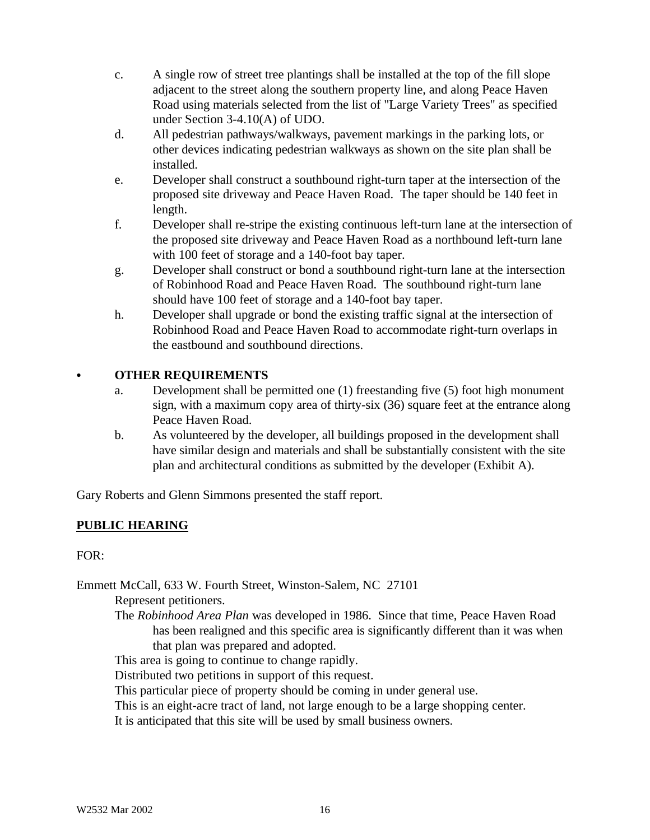- c. A single row of street tree plantings shall be installed at the top of the fill slope adjacent to the street along the southern property line, and along Peace Haven Road using materials selected from the list of "Large Variety Trees" as specified under Section 3-4.10(A) of UDO.
- d. All pedestrian pathways/walkways, pavement markings in the parking lots, or other devices indicating pedestrian walkways as shown on the site plan shall be installed.
- e. Developer shall construct a southbound right-turn taper at the intersection of the proposed site driveway and Peace Haven Road. The taper should be 140 feet in length.
- f. Developer shall re-stripe the existing continuous left-turn lane at the intersection of the proposed site driveway and Peace Haven Road as a northbound left-turn lane with 100 feet of storage and a 140-foot bay taper.
- g. Developer shall construct or bond a southbound right-turn lane at the intersection of Robinhood Road and Peace Haven Road. The southbound right-turn lane should have 100 feet of storage and a 140-foot bay taper.
- h. Developer shall upgrade or bond the existing traffic signal at the intersection of Robinhood Road and Peace Haven Road to accommodate right-turn overlaps in the eastbound and southbound directions.

# C **OTHER REQUIREMENTS**

- a. Development shall be permitted one (1) freestanding five (5) foot high monument sign, with a maximum copy area of thirty-six (36) square feet at the entrance along Peace Haven Road.
- b. As volunteered by the developer, all buildings proposed in the development shall have similar design and materials and shall be substantially consistent with the site plan and architectural conditions as submitted by the developer (Exhibit A).

Gary Roberts and Glenn Simmons presented the staff report.

# **PUBLIC HEARING**

 $FOR:$ 

Emmett McCall, 633 W. Fourth Street, Winston-Salem, NC 27101

Represent petitioners.

The *Robinhood Area Plan* was developed in 1986. Since that time, Peace Haven Road has been realigned and this specific area is significantly different than it was when that plan was prepared and adopted.

This area is going to continue to change rapidly.

Distributed two petitions in support of this request.

This particular piece of property should be coming in under general use.

This is an eight-acre tract of land, not large enough to be a large shopping center.

It is anticipated that this site will be used by small business owners.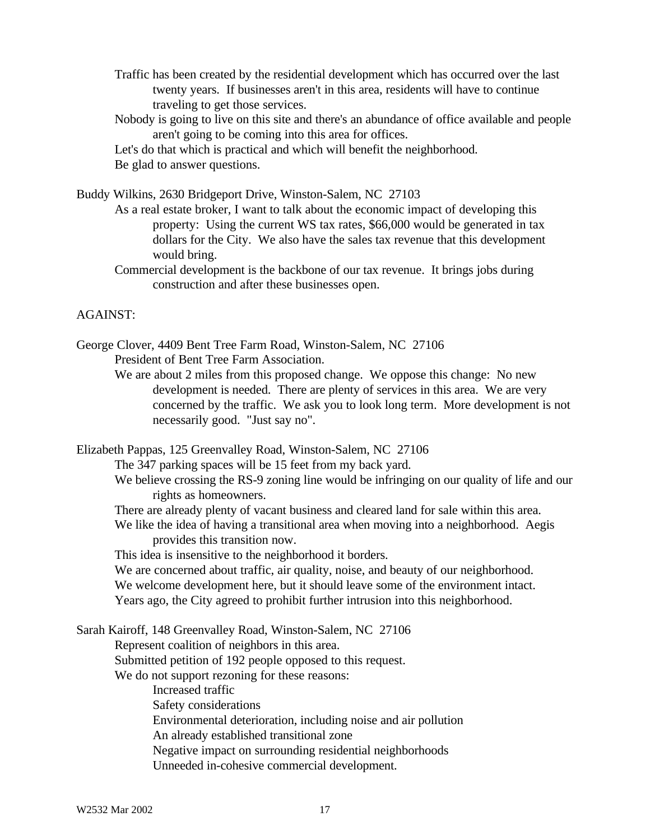- Traffic has been created by the residential development which has occurred over the last twenty years. If businesses aren't in this area, residents will have to continue traveling to get those services.
- Nobody is going to live on this site and there's an abundance of office available and people aren't going to be coming into this area for offices.

Let's do that which is practical and which will benefit the neighborhood. Be glad to answer questions.

Buddy Wilkins, 2630 Bridgeport Drive, Winston-Salem, NC 27103

As a real estate broker, I want to talk about the economic impact of developing this property: Using the current WS tax rates, \$66,000 would be generated in tax dollars for the City. We also have the sales tax revenue that this development would bring.

Commercial development is the backbone of our tax revenue. It brings jobs during construction and after these businesses open.

#### AGAINST:

George Clover, 4409 Bent Tree Farm Road, Winston-Salem, NC 27106 President of Bent Tree Farm Association.

We are about 2 miles from this proposed change. We oppose this change: No new development is needed. There are plenty of services in this area. We are very concerned by the traffic. We ask you to look long term. More development is not necessarily good. "Just say no".

Elizabeth Pappas, 125 Greenvalley Road, Winston-Salem, NC 27106

The 347 parking spaces will be 15 feet from my back yard.

- We believe crossing the RS-9 zoning line would be infringing on our quality of life and our rights as homeowners.
- There are already plenty of vacant business and cleared land for sale within this area.

We like the idea of having a transitional area when moving into a neighborhood. Aegis provides this transition now.

This idea is insensitive to the neighborhood it borders.

We are concerned about traffic, air quality, noise, and beauty of our neighborhood.

We welcome development here, but it should leave some of the environment intact.

Years ago, the City agreed to prohibit further intrusion into this neighborhood.

Sarah Kairoff, 148 Greenvalley Road, Winston-Salem, NC 27106 Represent coalition of neighbors in this area. Submitted petition of 192 people opposed to this request. We do not support rezoning for these reasons: Increased traffic Safety considerations Environmental deterioration, including noise and air pollution An already established transitional zone Negative impact on surrounding residential neighborhoods Unneeded in-cohesive commercial development.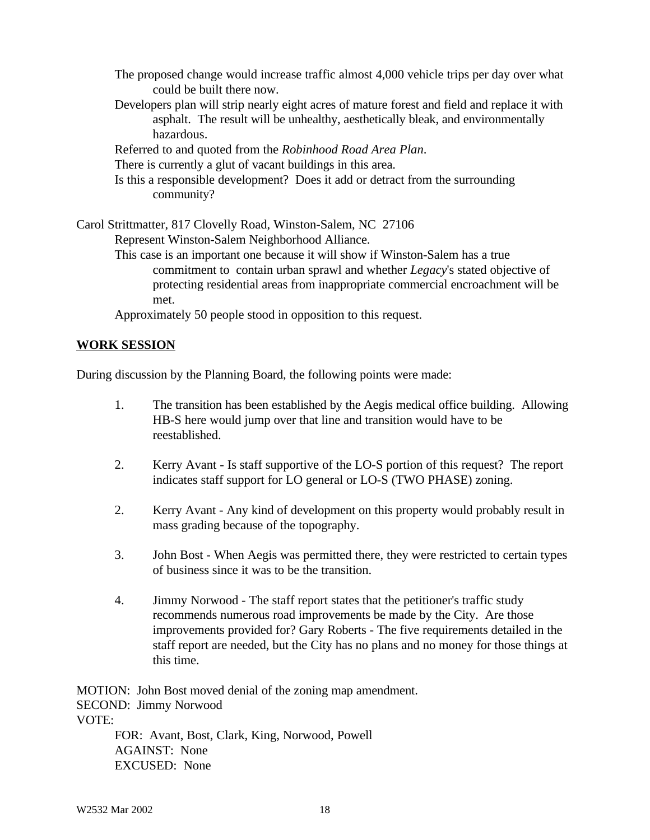The proposed change would increase traffic almost 4,000 vehicle trips per day over what could be built there now.

- Developers plan will strip nearly eight acres of mature forest and field and replace it with asphalt. The result will be unhealthy, aesthetically bleak, and environmentally hazardous.
- Referred to and quoted from the *Robinhood Road Area Plan*.

There is currently a glut of vacant buildings in this area.

Is this a responsible development? Does it add or detract from the surrounding community?

Carol Strittmatter, 817 Clovelly Road, Winston-Salem, NC 27106 Represent Winston-Salem Neighborhood Alliance. This case is an important one because it will show if Winston-Salem has a true commitment to contain urban sprawl and whether *Legacy*'s stated objective of protecting residential areas from inappropriate commercial encroachment will be

met.

Approximately 50 people stood in opposition to this request.

#### **WORK SESSION**

During discussion by the Planning Board, the following points were made:

- 1. The transition has been established by the Aegis medical office building. Allowing HB-S here would jump over that line and transition would have to be reestablished.
- 2. Kerry Avant Is staff supportive of the LO-S portion of this request? The report indicates staff support for LO general or LO-S (TWO PHASE) zoning.
- 2. Kerry Avant Any kind of development on this property would probably result in mass grading because of the topography.
- 3. John Bost When Aegis was permitted there, they were restricted to certain types of business since it was to be the transition.
- 4. Jimmy Norwood The staff report states that the petitioner's traffic study recommends numerous road improvements be made by the City. Are those improvements provided for? Gary Roberts - The five requirements detailed in the staff report are needed, but the City has no plans and no money for those things at this time.

MOTION: John Bost moved denial of the zoning map amendment. SECOND: Jimmy Norwood VOTE: FOR: Avant, Bost, Clark, King, Norwood, Powell AGAINST: None

W2532 Mar 2002 18

EXCUSED: None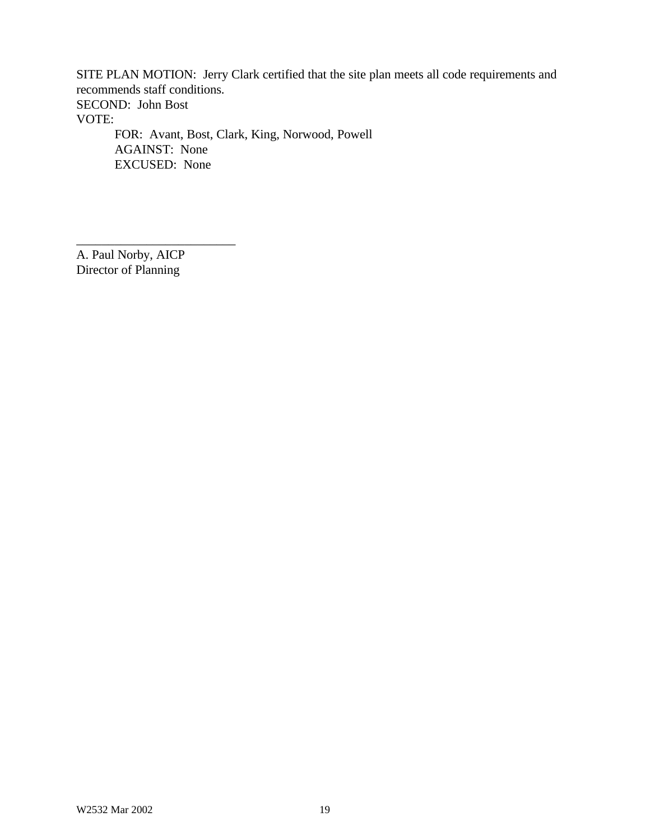SITE PLAN MOTION: Jerry Clark certified that the site plan meets all code requirements and recommends staff conditions. SECOND: John Bost VOTE: FOR: Avant, Bost, Clark, King, Norwood, Powell AGAINST: None EXCUSED: None

A. Paul Norby, AICP Director of Planning

\_\_\_\_\_\_\_\_\_\_\_\_\_\_\_\_\_\_\_\_\_\_\_\_\_